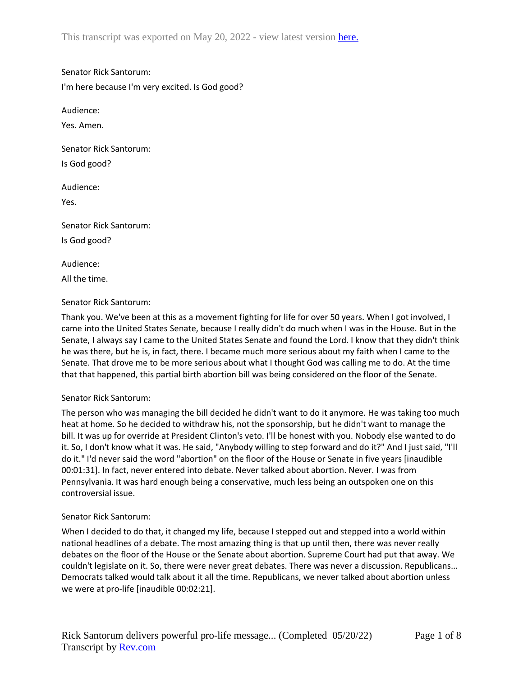This transcript was exported on May 20, 2022 - view latest version here.

Senator Rick Santorum:

I'm here because I'm very excited. Is God good?

Audience:

Yes. Amen.

Senator Rick Santorum: Is God good?

Audience:

Yes.

Senator Rick Santorum:

Is God good?

Audience:

All the time.

## Senator Rick Santorum:

Thank you. We've been at this as a movement fighting for life for over 50 years. When I got involved, I came into the United States Senate, because I really didn't do much when I was in the House. But in the Senate, I always say I came to the United States Senate and found the Lord. I know that they didn't think he was there, but he is, in fact, there. I became much more serious about my faith when I came to the Senate. That drove me to be more serious about what I thought God was calling me to do. At the time that that happened, this partial birth abortion bill was being considered on the floor of the Senate.

## Senator Rick Santorum:

The person who was managing the bill decided he didn't want to do it anymore. He was taking too much heat at home. So he decided to withdraw his, not the sponsorship, but he didn't want to manage the bill. It was up for override at President Clinton's veto. I'll be honest with you. Nobody else wanted to do it. So, I don't know what it was. He said, "Anybody willing to step forward and do it?" And I just said, "I'll do it." I'd never said the word "abortion" on the floor of the House or Senate in five years [inaudible 00:01:31]. In fact, never entered into debate. Never talked about abortion. Never. I was from Pennsylvania. It was hard enough being a conservative, much less being an outspoken one on this controversial issue.

## Senator Rick Santorum:

When I decided to do that, it changed my life, because I stepped out and stepped into a world within national headlines of a debate. The most amazing thing is that up until then, there was never really debates on the floor of the House or the Senate about abortion. Supreme Court had put that away. We couldn't legislate on it. So, there were never great debates. There was never a discussion. Republicans... Democrats talked would talk about it all the time. Republicans, we never talked about abortion unless we were at pro-life [inaudible 00:02:21].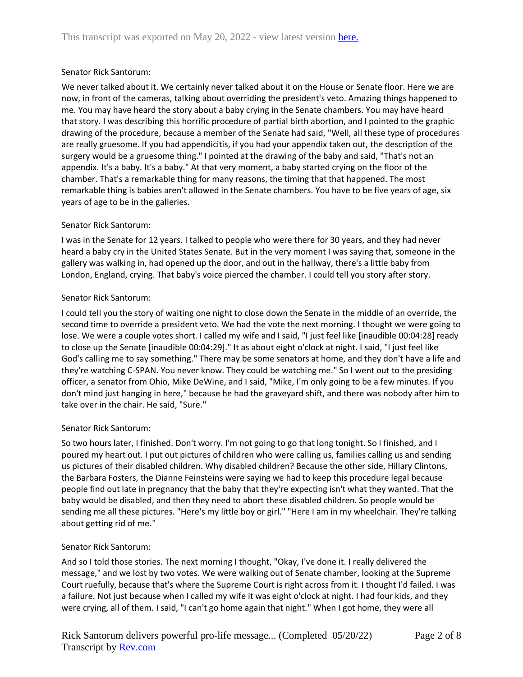# Senator Rick Santorum:

We never talked about it. We certainly never talked about it on the House or Senate floor. Here we are now, in front of the cameras, talking about overriding the president's veto. Amazing things happened to me. You may have heard the story about a baby crying in the Senate chambers. You may have heard that story. I was describing this horrific procedure of partial birth abortion, and I pointed to the graphic drawing of the procedure, because a member of the Senate had said, "Well, all these type of procedures are really gruesome. If you had appendicitis, if you had your appendix taken out, the description of the surgery would be a gruesome thing." I pointed at the drawing of the baby and said, "That's not an appendix. It's a baby. It's a baby." At that very moment, a baby started crying on the floor of the chamber. That's a remarkable thing for many reasons, the timing that that happened. The most remarkable thing is babies aren't allowed in the Senate chambers. You have to be five years of age, six years of age to be in the galleries.

# Senator Rick Santorum:

I was in the Senate for 12 years. I talked to people who were there for 30 years, and they had never heard a baby cry in the United States Senate. But in the very moment I was saying that, someone in the gallery was walking in, had opened up the door, and out in the hallway, there's a little baby from London, England, crying. That baby's voice pierced the chamber. I could tell you story after story.

# Senator Rick Santorum:

I could tell you the story of waiting one night to close down the Senate in the middle of an override, the second time to override a president veto. We had the vote the next morning. I thought we were going to lose. We were a couple votes short. I called my wife and I said, "I just feel like [inaudible 00:04:28] ready to close up the Senate [inaudible 00:04:29]." It as about eight o'clock at night. I said, "I just feel like God's calling me to say something." There may be some senators at home, and they don't have a life and they're watching C-SPAN. You never know. They could be watching me." So I went out to the presiding officer, a senator from Ohio, Mike DeWine, and I said, "Mike, I'm only going to be a few minutes. If you don't mind just hanging in here," because he had the graveyard shift, and there was nobody after him to take over in the chair. He said, "Sure."

# Senator Rick Santorum:

So two hours later, I finished. Don't worry. I'm not going to go that long tonight. So I finished, and I poured my heart out. I put out pictures of children who were calling us, families calling us and sending us pictures of their disabled children. Why disabled children? Because the other side, Hillary Clintons, the Barbara Fosters, the Dianne Feinsteins were saying we had to keep this procedure legal because people find out late in pregnancy that the baby that they're expecting isn't what they wanted. That the baby would be disabled, and then they need to abort these disabled children. So people would be sending me all these pictures. "Here's my little boy or girl." "Here I am in my wheelchair. They're talking about getting rid of me."

# Senator Rick Santorum:

And so I told those stories. The next morning I thought, "Okay, I've done it. I really delivered the message," and we lost by two votes. We were walking out of Senate chamber, looking at the Supreme Court ruefully, because that's where the Supreme Court is right across from it. I thought I'd failed. I was a failure. Not just because when I called my wife it was eight o'clock at night. I had four kids, and they were crying, all of them. I said, "I can't go home again that night." When I got home, they were all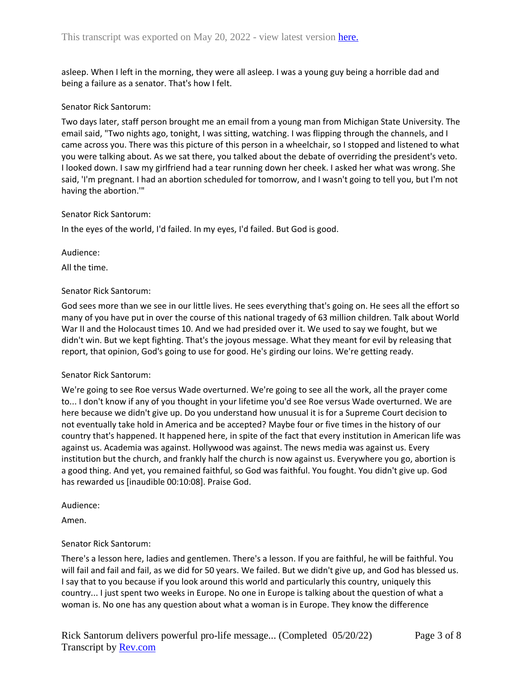asleep. When I left in the morning, they were all asleep. I was a young guy being a horrible dad and being a failure as a senator. That's how I felt.

#### Senator Rick Santorum:

Two days later, staff person brought me an email from a young man from Michigan State University. The email said, "Two nights ago, tonight, I was sitting, watching. I was flipping through the channels, and I came across you. There was this picture of this person in a wheelchair, so I stopped and listened to what you were talking about. As we sat there, you talked about the debate of overriding the president's veto. I looked down. I saw my girlfriend had a tear running down her cheek. I asked her what was wrong. She said, 'I'm pregnant. I had an abortion scheduled for tomorrow, and I wasn't going to tell you, but I'm not having the abortion.'"

#### Senator Rick Santorum:

In the eyes of the world, I'd failed. In my eyes, I'd failed. But God is good.

Audience:

All the time.

#### Senator Rick Santorum:

God sees more than we see in our little lives. He sees everything that's going on. He sees all the effort so many of you have put in over the course of this national tragedy of 63 million children. Talk about World War II and the Holocaust times 10. And we had presided over it. We used to say we fought, but we didn't win. But we kept fighting. That's the joyous message. What they meant for evil by releasing that report, that opinion, God's going to use for good. He's girding our loins. We're getting ready.

#### Senator Rick Santorum:

We're going to see Roe versus Wade overturned. We're going to see all the work, all the prayer come to... I don't know if any of you thought in your lifetime you'd see Roe versus Wade overturned. We are here because we didn't give up. Do you understand how unusual it is for a Supreme Court decision to not eventually take hold in America and be accepted? Maybe four or five times in the history of our country that's happened. It happened here, in spite of the fact that every institution in American life was against us. Academia was against. Hollywood was against. The news media was against us. Every institution but the church, and frankly half the church is now against us. Everywhere you go, abortion is a good thing. And yet, you remained faithful, so God was faithful. You fought. You didn't give up. God has rewarded us [inaudible 00:10:08]. Praise God.

#### Audience:

Amen.

## Senator Rick Santorum:

There's a lesson here, ladies and gentlemen. There's a lesson. If you are faithful, he will be faithful. You will fail and fail and fail, as we did for 50 years. We failed. But we didn't give up, and God has blessed us. I say that to you because if you look around this world and particularly this country, uniquely this country... I just spent two weeks in Europe. No one in Europe is talking about the question of what a woman is. No one has any question about what a woman is in Europe. They know the difference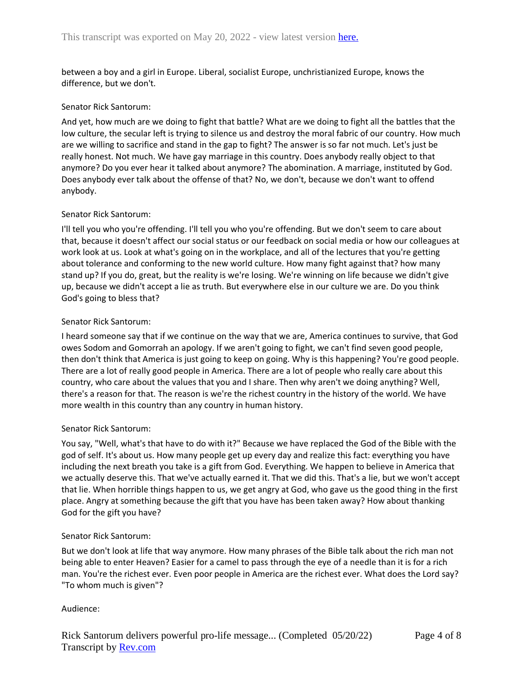between a boy and a girl in Europe. Liberal, socialist Europe, unchristianized Europe, knows the difference, but we don't.

#### Senator Rick Santorum:

And yet, how much are we doing to fight that battle? What are we doing to fight all the battles that the low culture, the secular left is trying to silence us and destroy the moral fabric of our country. How much are we willing to sacrifice and stand in the gap to fight? The answer is so far not much. Let's just be really honest. Not much. We have gay marriage in this country. Does anybody really object to that anymore? Do you ever hear it talked about anymore? The abomination. A marriage, instituted by God. Does anybody ever talk about the offense of that? No, we don't, because we don't want to offend anybody.

#### Senator Rick Santorum:

I'll tell you who you're offending. I'll tell you who you're offending. But we don't seem to care about that, because it doesn't affect our social status or our feedback on social media or how our colleagues at work look at us. Look at what's going on in the workplace, and all of the lectures that you're getting about tolerance and conforming to the new world culture. How many fight against that? how many stand up? If you do, great, but the reality is we're losing. We're winning on life because we didn't give up, because we didn't accept a lie as truth. But everywhere else in our culture we are. Do you think God's going to bless that?

#### Senator Rick Santorum:

I heard someone say that if we continue on the way that we are, America continues to survive, that God owes Sodom and Gomorrah an apology. If we aren't going to fight, we can't find seven good people, then don't think that America is just going to keep on going. Why is this happening? You're good people. There are a lot of really good people in America. There are a lot of people who really care about this country, who care about the values that you and I share. Then why aren't we doing anything? Well, there's a reason for that. The reason is we're the richest country in the history of the world. We have more wealth in this country than any country in human history.

## Senator Rick Santorum:

You say, "Well, what's that have to do with it?" Because we have replaced the God of the Bible with the god of self. It's about us. How many people get up every day and realize this fact: everything you have including the next breath you take is a gift from God. Everything. We happen to believe in America that we actually deserve this. That we've actually earned it. That we did this. That's a lie, but we won't accept that lie. When horrible things happen to us, we get angry at God, who gave us the good thing in the first place. Angry at something because the gift that you have has been taken away? How about thanking God for the gift you have?

#### Senator Rick Santorum:

But we don't look at life that way anymore. How many phrases of the Bible talk about the rich man not being able to enter Heaven? Easier for a camel to pass through the eye of a needle than it is for a rich man. You're the richest ever. Even poor people in America are the richest ever. What does the Lord say? "To whom much is given"?

## Audience: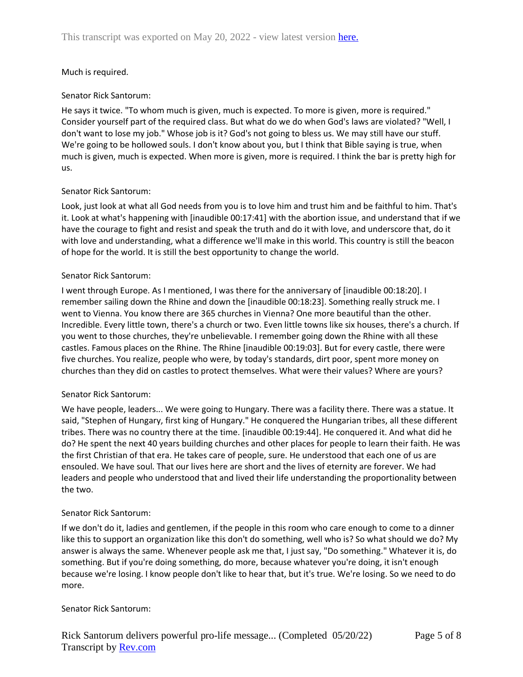# Much is required.

## Senator Rick Santorum:

He says it twice. "To whom much is given, much is expected. To more is given, more is required." Consider yourself part of the required class. But what do we do when God's laws are violated? "Well, I don't want to lose my job." Whose job is it? God's not going to bless us. We may still have our stuff. We're going to be hollowed souls. I don't know about you, but I think that Bible saying is true, when much is given, much is expected. When more is given, more is required. I think the bar is pretty high for us.

# Senator Rick Santorum:

Look, just look at what all God needs from you is to love him and trust him and be faithful to him. That's it. Look at what's happening with [inaudible 00:17:41] with the abortion issue, and understand that if we have the courage to fight and resist and speak the truth and do it with love, and underscore that, do it with love and understanding, what a difference we'll make in this world. This country is still the beacon of hope for the world. It is still the best opportunity to change the world.

## Senator Rick Santorum:

I went through Europe. As I mentioned, I was there for the anniversary of [inaudible 00:18:20]. I remember sailing down the Rhine and down the [inaudible 00:18:23]. Something really struck me. I went to Vienna. You know there are 365 churches in Vienna? One more beautiful than the other. Incredible. Every little town, there's a church or two. Even little towns like six houses, there's a church. If you went to those churches, they're unbelievable. I remember going down the Rhine with all these castles. Famous places on the Rhine. The Rhine [inaudible 00:19:03]. But for every castle, there were five churches. You realize, people who were, by today's standards, dirt poor, spent more money on churches than they did on castles to protect themselves. What were their values? Where are yours?

## Senator Rick Santorum:

We have people, leaders... We were going to Hungary. There was a facility there. There was a statue. It said, "Stephen of Hungary, first king of Hungary." He conquered the Hungarian tribes, all these different tribes. There was no country there at the time. [inaudible 00:19:44]. He conquered it. And what did he do? He spent the next 40 years building churches and other places for people to learn their faith. He was the first Christian of that era. He takes care of people, sure. He understood that each one of us are ensouled. We have soul. That our lives here are short and the lives of eternity are forever. We had leaders and people who understood that and lived their life understanding the proportionality between the two.

## Senator Rick Santorum:

If we don't do it, ladies and gentlemen, if the people in this room who care enough to come to a dinner like this to support an organization like this don't do something, well who is? So what should we do? My answer is always the same. Whenever people ask me that, I just say, "Do something." Whatever it is, do something. But if you're doing something, do more, because whatever you're doing, it isn't enough because we're losing. I know people don't like to hear that, but it's true. We're losing. So we need to do more.

## Senator Rick Santorum: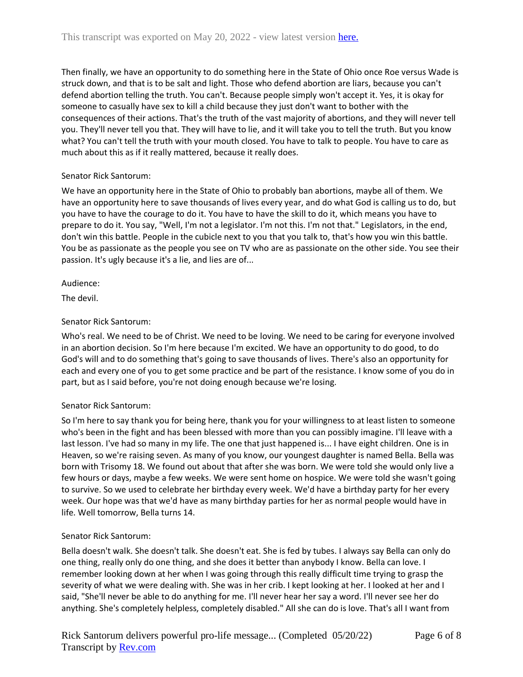Then finally, we have an opportunity to do something here in the State of Ohio once Roe versus Wade is struck down, and that is to be salt and light. Those who defend abortion are liars, because you can't defend abortion telling the truth. You can't. Because people simply won't accept it. Yes, it is okay for someone to casually have sex to kill a child because they just don't want to bother with the consequences of their actions. That's the truth of the vast majority of abortions, and they will never tell you. They'll never tell you that. They will have to lie, and it will take you to tell the truth. But you know what? You can't tell the truth with your mouth closed. You have to talk to people. You have to care as much about this as if it really mattered, because it really does.

# Senator Rick Santorum:

We have an opportunity here in the State of Ohio to probably ban abortions, maybe all of them. We have an opportunity here to save thousands of lives every year, and do what God is calling us to do, but you have to have the courage to do it. You have to have the skill to do it, which means you have to prepare to do it. You say, "Well, I'm not a legislator. I'm not this. I'm not that." Legislators, in the end, don't win this battle. People in the cubicle next to you that you talk to, that's how you win this battle. You be as passionate as the people you see on TV who are as passionate on the other side. You see their passion. It's ugly because it's a lie, and lies are of...

Audience:

The devil.

# Senator Rick Santorum:

Who's real. We need to be of Christ. We need to be loving. We need to be caring for everyone involved in an abortion decision. So I'm here because I'm excited. We have an opportunity to do good, to do God's will and to do something that's going to save thousands of lives. There's also an opportunity for each and every one of you to get some practice and be part of the resistance. I know some of you do in part, but as I said before, you're not doing enough because we're losing.

## Senator Rick Santorum:

So I'm here to say thank you for being here, thank you for your willingness to at least listen to someone who's been in the fight and has been blessed with more than you can possibly imagine. I'll leave with a last lesson. I've had so many in my life. The one that just happened is... I have eight children. One is in Heaven, so we're raising seven. As many of you know, our youngest daughter is named Bella. Bella was born with Trisomy 18. We found out about that after she was born. We were told she would only live a few hours or days, maybe a few weeks. We were sent home on hospice. We were told she wasn't going to survive. So we used to celebrate her birthday every week. We'd have a birthday party for her every week. Our hope was that we'd have as many birthday parties for her as normal people would have in life. Well tomorrow, Bella turns 14.

## Senator Rick Santorum:

Bella doesn't walk. She doesn't talk. She doesn't eat. She is fed by tubes. I always say Bella can only do one thing, really only do one thing, and she does it better than anybody I know. Bella can love. I remember looking down at her when I was going through this really difficult time trying to grasp the severity of what we were dealing with. She was in her crib. I kept looking at her. I looked at her and I said, "She'll never be able to do anything for me. I'll never hear her say a word. I'll never see her do anything. She's completely helpless, completely disabled." All she can do is love. That's all I want from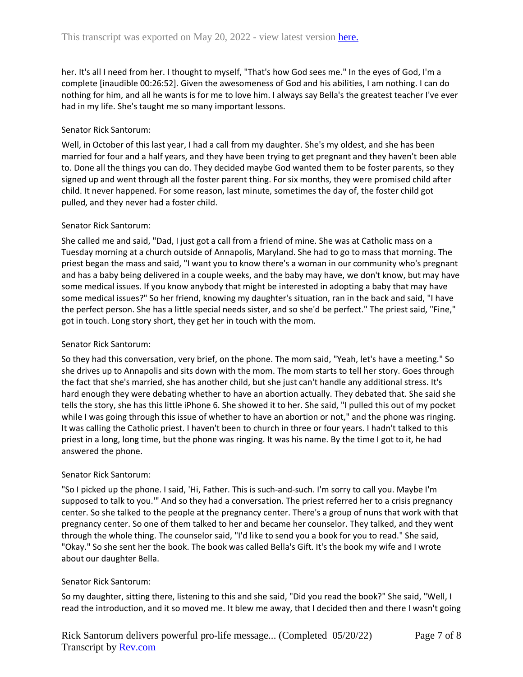her. It's all I need from her. I thought to myself, "That's how God sees me." In the eyes of God, I'm a complete [inaudible 00:26:52]. Given the awesomeness of God and his abilities, I am nothing. I can do nothing for him, and all he wants is for me to love him. I always say Bella's the greatest teacher I've ever had in my life. She's taught me so many important lessons.

## Senator Rick Santorum:

Well, in October of this last year, I had a call from my daughter. She's my oldest, and she has been married for four and a half years, and they have been trying to get pregnant and they haven't been able to. Done all the things you can do. They decided maybe God wanted them to be foster parents, so they signed up and went through all the foster parent thing. For six months, they were promised child after child. It never happened. For some reason, last minute, sometimes the day of, the foster child got pulled, and they never had a foster child.

# Senator Rick Santorum:

She called me and said, "Dad, I just got a call from a friend of mine. She was at Catholic mass on a Tuesday morning at a church outside of Annapolis, Maryland. She had to go to mass that morning. The priest began the mass and said, "I want you to know there's a woman in our community who's pregnant and has a baby being delivered in a couple weeks, and the baby may have, we don't know, but may have some medical issues. If you know anybody that might be interested in adopting a baby that may have some medical issues?" So her friend, knowing my daughter's situation, ran in the back and said, "I have the perfect person. She has a little special needs sister, and so she'd be perfect." The priest said, "Fine," got in touch. Long story short, they get her in touch with the mom.

## Senator Rick Santorum:

So they had this conversation, very brief, on the phone. The mom said, "Yeah, let's have a meeting." So she drives up to Annapolis and sits down with the mom. The mom starts to tell her story. Goes through the fact that she's married, she has another child, but she just can't handle any additional stress. It's hard enough they were debating whether to have an abortion actually. They debated that. She said she tells the story, she has this little iPhone 6. She showed it to her. She said, "I pulled this out of my pocket while I was going through this issue of whether to have an abortion or not," and the phone was ringing. It was calling the Catholic priest. I haven't been to church in three or four years. I hadn't talked to this priest in a long, long time, but the phone was ringing. It was his name. By the time I got to it, he had answered the phone.

## Senator Rick Santorum:

"So I picked up the phone. I said, 'Hi, Father. This is such-and-such. I'm sorry to call you. Maybe I'm supposed to talk to you.'" And so they had a conversation. The priest referred her to a crisis pregnancy center. So she talked to the people at the pregnancy center. There's a group of nuns that work with that pregnancy center. So one of them talked to her and became her counselor. They talked, and they went through the whole thing. The counselor said, "I'd like to send you a book for you to read." She said, "Okay." So she sent her the book. The book was called Bella's Gift. It's the book my wife and I wrote about our daughter Bella.

## Senator Rick Santorum:

So my daughter, sitting there, listening to this and she said, "Did you read the book?" She said, "Well, I read the introduction, and it so moved me. It blew me away, that I decided then and there I wasn't going